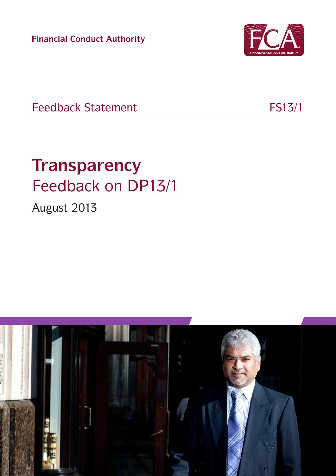**Financial Conduct Authority**



Feedback Statement FS13/1

# **Transparency** Feedback on DP13/1

August 2013

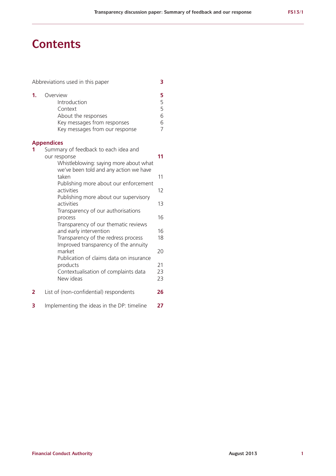### **Contents**

|    | Abbreviations used in this paper                                                                                                         | 3                                       |
|----|------------------------------------------------------------------------------------------------------------------------------------------|-----------------------------------------|
| 1. | Overview<br>Introduction<br>Context<br>About the responses<br>Key messages from responses<br>Key messages from our response              | 5<br>5<br>5<br>6<br>6<br>$\overline{7}$ |
|    | <b>Appendices</b>                                                                                                                        |                                         |
| 1  | Summary of feedback to each idea and<br>our response<br>Whistleblowing: saying more about what<br>we've been told and any action we have | 11                                      |
|    | taken                                                                                                                                    | 11                                      |
|    | Publishing more about our enforcement<br>activities                                                                                      | 12                                      |
|    | Publishing more about our supervisory<br>activities                                                                                      | 13                                      |
|    | Transparency of our authorisations<br>process<br>Transparency of our thematic reviews                                                    | 16                                      |
|    | and early intervention<br>Transparency of the redress process                                                                            | 16<br>18                                |
|    | Improved transparency of the annuity<br>market<br>Publication of claims data on insurance                                                | 20                                      |
|    | products<br>Contextualisation of complaints data<br>New ideas                                                                            | 21<br>23<br>23                          |
| 2  | List of (non-confidential) respondents                                                                                                   | 26                                      |
| 3  | Implementing the ideas in the DP: timeline                                                                                               | 27                                      |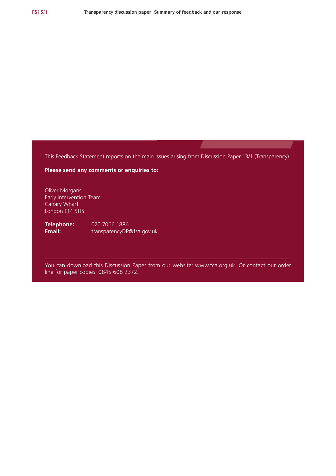This Feedback Statement reports on the main issues arising from Discussion Paper 13/1 (Transparency).

**Please send any comments or enquiries to:**

Oliver Morgans Early Intervention Team Canary Wharf London E14 5HS

**Telephone:** 020 7066 1886<br>**Email:** transparencyDP **Email:** transparencyD[P@fsa.gov.uk](mailto:cp11_xx@fsa.gov.uk)

You can download this Discussion Paper from our website: www.fca.org.uk. Or contact our order line for paper copies: 0845 608 2372.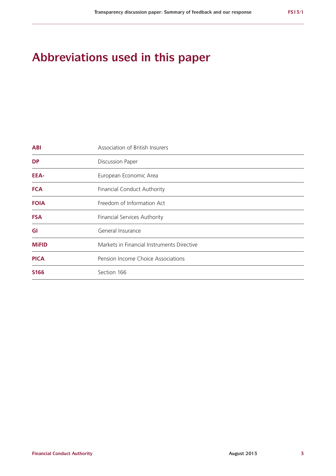# **Abbreviations used in this paper**

| <b>ABI</b>   | Association of British Insurers            |  |  |  |  |  |  |  |
|--------------|--------------------------------------------|--|--|--|--|--|--|--|
| <b>DP</b>    | <b>Discussion Paper</b>                    |  |  |  |  |  |  |  |
| EEA-         | European Economic Area                     |  |  |  |  |  |  |  |
| <b>FCA</b>   | <b>Financial Conduct Authority</b>         |  |  |  |  |  |  |  |
| <b>FOIA</b>  | Freedom of Information Act                 |  |  |  |  |  |  |  |
| <b>FSA</b>   | <b>Financial Services Authority</b>        |  |  |  |  |  |  |  |
| GI           | General Insurance                          |  |  |  |  |  |  |  |
| <b>MiFID</b> | Markets in Financial Instruments Directive |  |  |  |  |  |  |  |
| <b>PICA</b>  | Pension Income Choice Associations         |  |  |  |  |  |  |  |
| <b>S166</b>  | Section 166                                |  |  |  |  |  |  |  |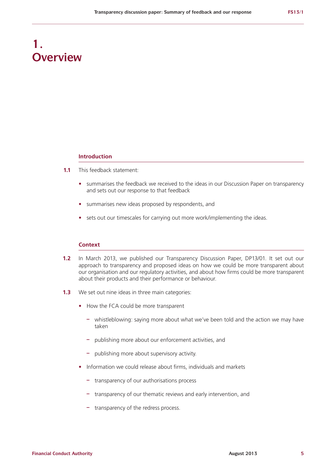# **1. Overview**

#### **Introduction**

- **1.1** This feedback statement:
	- summarises the feedback we received to the ideas in our Discussion Paper on transparency and sets out our response to that feedback
	- **•**  summarises new ideas proposed by respondents, and
	- sets out our timescales for carrying out more work/implementing the ideas.

#### **Context**

- **1.2** In March 2013, we published our Transparency Discussion Paper, DP13/01. It set out our approach to transparency and proposed ideas on how we could be more transparent about our organisation and our regulatory activities, and about how firms could be more transparent about their products and their performance or behaviour.
- **1.3** We set out nine ideas in three main categories:
	- **•**  How the FCA could be more transparent
		- **–** whistleblowing: saying more about what we've been told and the action we may have taken
		- **–** publishing more about our enforcement activities, and
		- **–** publishing more about supervisory activity.
	- Information we could release about firms, individuals and markets
		- **–** transparency of our authorisations process
		- **–** transparency of our thematic reviews and early intervention, and
		- **–** transparency of the redress process.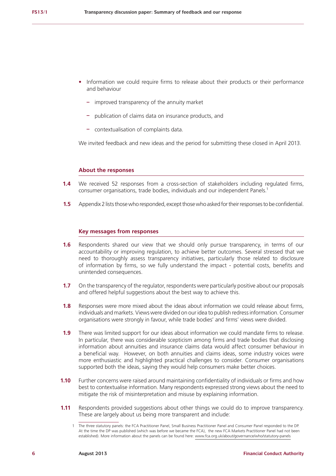- Information we could require firms to release about their products or their performance and behaviour
	- **–** improved transparency of the annuity market
	- **–** publication of claims data on insurance products, and
	- **–** contextualisation of complaints data.

We invited feedback and new ideas and the period for submitting these closed in April 2013.

#### **About the responses**

- **1.4** We received 52 responses from a cross-section of stakeholders including regulated firms, consumer organisations, trade bodies, individuals and our independent Panels.1
- **1.5** Appendix 2 lists those who responded, except those who asked for their responses to be confidential.

#### **Key messages from responses**

- **1.6** Respondents shared our view that we should only pursue transparency, in terms of our accountability or improving regulation, to achieve better outcomes. Several stressed that we need to thoroughly assess transparency initiatives, particularly those related to disclosure of information by firms, so we fully understand the impact - potential costs, benefits and unintended consequences.
- **1.7** On the transparency of the regulator, respondents were particularly positive about our proposals and offered helpful suggestions about the best way to achieve this.
- **1.8** Responses were more mixed about the ideas about information we could release about firms, individuals and markets. Views were divided on our idea to publish redress information. Consumer organisations were strongly in favour, while trade bodies' and firms' views were divided.
- **1.9** There was limited support for our ideas about information we could mandate firms to release. In particular, there was considerable scepticism among firms and trade bodies that disclosing information about annuities and insurance claims data would affect consumer behaviour in a beneficial way. However, on both annuities and claims ideas, some industry voices were more enthusiastic and highlighted practical challenges to consider. Consumer organisations supported both the ideas, saying they would help consumers make better choices.
- **1.10** Further concerns were raised around maintaining confidentiality of individuals or firms and how best to contextualise information. Many respondents expressed strong views about the need to mitigate the risk of misinterpretation and misuse by explaining information.
- **1.11** Respondents provided suggestions about other things we could do to improve transparency. These are largely about us being more transparent and include:

<sup>1</sup> The three statutory panels: the FCA Practitioner Panel, Small Business Practitioner Panel and Consumer Panel responded to the DP. At the time the DP was published (which was before we became the FCA), the new FCA Markets Practitioner Panel had not been established). More information about the panels can be found here: www.fca.org.uk/about/governance/who/statutory-panels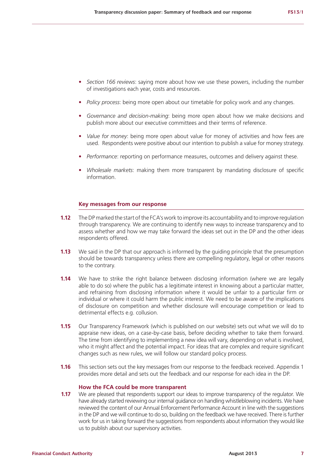- **•**  *Section 166 reviews*: saying more about how we use these powers, including the number of investigations each year, costs and resources.
- **•**  *Policy process*: being more open about our timetable for policy work and any changes.
- **•**  *Governance and decision-making*: being more open about how we make decisions and publish more about our executive committees and their terms of reference.
- **•**  *Value for money*: being more open about value for money of activities and how fees are used. Respondents were positive about our intention to publish a value for money strategy.
- *Performance:* reporting on performance measures, outcomes and delivery against these.
- **•**  *Wholesale markets*: making them more transparent by mandating disclosure of specific information.

#### **Key messages from our response**

- **1.12** The DP marked the start of the FCA's work to improve its accountability and to improve regulation through transparency. We are continuing to identify new ways to increase transparency and to assess whether and how we may take forward the ideas set out in the DP and the other ideas respondents offered.
- **1.13** We said in the DP that our approach is informed by the quiding principle that the presumption should be towards transparency unless there are compelling regulatory, legal or other reasons to the contrary.
- **1.14** We have to strike the right balance between disclosing information (where we are legally able to do so) where the public has a legitimate interest in knowing about a particular matter. and refraining from disclosing information where it would be unfair to a particular firm or individual or where it could harm the public interest. We need to be aware of the implications of disclosure on competition and whether disclosure will encourage competition or lead to detrimental effects e.g. collusion.
- **1.15** Our Transparency Framework (which is published on our website) sets out what we will do to appraise new ideas, on a case-by-case basis, before deciding whether to take them forward. The time from identifying to implementing a new idea will vary, depending on what is involved, who it might affect and the potential impact. For ideas that are complex and require significant changes such as new rules, we will follow our standard policy process.
- **1.16** This section sets out the key messages from our response to the feedback received. Appendix 1 provides more detail and sets out the feedback and our response for each idea in the DP.

#### **How the FCA could be more transparent**

**1.17** We are pleased that respondents support our ideas to improve transparency of the regulator. We have already started reviewing our internal guidance on handling whistleblowing incidents. We have reviewed the content of our Annual Enforcement Performance Account in line with the suggestions in the DP and we will continue to do so, building on the feedback we have received. There is further work for us in taking forward the suggestions from respondents about information they would like us to publish about our supervisory activities.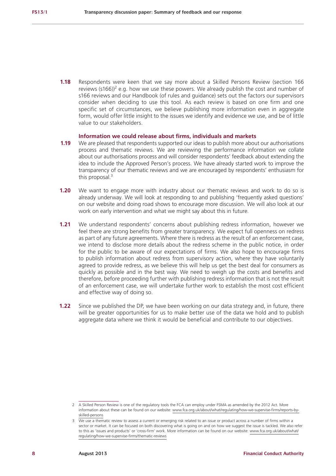**1.18** Respondents were keen that we say more about a Skilled Persons Review (section 166 reviews (s166) $^2$  e.g. how we use these powers. We already publish the cost and number of s166 reviews and our Handbook (of rules and guidance) sets out the factors our supervisors consider when deciding to use this tool. As each review is based on one firm and one specific set of circumstances, we believe publishing more information even in aggregate form, would offer little insight to the issues we identify and evidence we use, and be of little value to our stakeholders.

#### **Information we could release about firms, individuals and markets**

- **1.19** We are pleased that respondents supported our ideas to publish more about our authorisations process and thematic reviews. We are reviewing the performance information we collate about our authorisations process and will consider respondents' feedback about extending the idea to include the Approved Person's process. We have already started work to improve the transparency of our thematic reviews and we are encouraged by respondents' enthusiasm for this proposal. $3$
- **1.20** We want to engage more with industry about our thematic reviews and work to do so is already underway. We will look at responding to and publishing 'frequently asked questions' on our website and doing road shows to encourage more discussion. We will also look at our work on early intervention and what we might say about this in future.
- **1.21** We understand respondents' concerns about publishing redress information, however we feel there are strong benefits from greater transparency. We expect full openness on redress as part of any future agreements. Where there is redress as the result of an enforcement case, we intend to disclose more details about the redress scheme in the public notice, in order for the public to be aware of our expectations of firms. We also hope to encourage firms to publish information about redress from supervisory action, where they have voluntarily agreed to provide redress, as we believe this will help us get the best deal for consumers as quickly as possible and in the best way. We need to weigh up the costs and benefits and therefore, before proceeding further with publishing redress information that is not the result of an enforcement case, we will undertake further work to establish the most cost efficient and effective way of doing so.
- **1.22** Since we published the DP, we have been working on our data strategy and, in future, there will be greater opportunities for us to make better use of the data we hold and to publish aggregate data where we think it would be beneficial and contribute to our objectives.

<sup>2</sup> A Skilled Person Review is one of the regulatory tools the FCA can employ under FSMA as amended by the 2012 Act. More information about these can be found on our website: www.fca.org.uk/about/what/regulating/how-we-supervise-firms/reports-byskilled-persons

<sup>3</sup> We use a thematic review to assess a current or emerging risk related to an issue or product across a number of firms within a sector or market. It can be focused on both discovering what is going on and on how we suggest the issue is tackled. We also refer to this as 'issues and products' or 'cross-firm' work. More information can be found on our website: www.fca.org.uk/about/what/ regulating/how-we-supervise-firms/thematic-reviews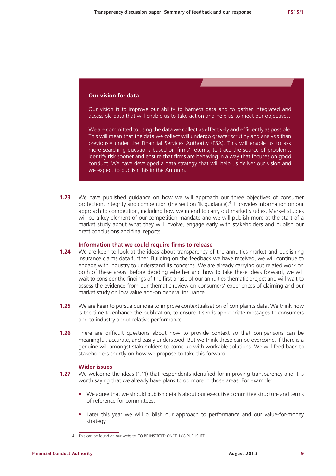#### **Our vision for data**

Our vision is to improve our ability to harness data and to gather integrated and accessible data that will enable us to take action and help us to meet our objectives.

We are committed to using the data we collect as effectively and efficiently as possible. This will mean that the data we collect will undergo greater scrutiny and analysis than previously under the Financial Services Authority (FSA). This will enable us to ask more searching questions based on firms' returns, to trace the source of problems, identify risk sooner and ensure that firms are behaving in a way that focuses on good conduct. We have developed a data strategy that will help us deliver our vision and we expect to publish this in the Autumn.

**1.23** We have published guidance on how we will approach our three objectives of consumer protection, integrity and competition (the section 1k guidance).<sup>4</sup> It provides information on our approach to competition, including how we intend to carry out market studies. Market studies will be a key element of our competition mandate and we will publish more at the start of a market study about what they will involve, engage early with stakeholders and publish our draft conclusions and final reports.

#### **Information that we could require firms to release**

- **1.24** We are keen to look at the ideas about transparency of the annuities market and publishing insurance claims data further. Building on the feedback we have received, we will continue to engage with industry to understand its concerns. We are already carrying out related work on both of these areas. Before deciding whether and how to take these ideas forward, we will wait to consider the findings of the first phase of our annuities thematic project and will wait to assess the evidence from our thematic review on consumers' experiences of claiming and our market study on low value add-on general insurance.
- **1.25** We are keen to pursue our idea to improve contextualisation of complaints data. We think now is the time to enhance the publication, to ensure it sends appropriate messages to consumers and to industry about relative performance.
- **1.26** There are difficult questions about how to provide context so that comparisons can be meaningful, accurate, and easily understood. But we think these can be overcome, if there is a genuine will amongst stakeholders to come up with workable solutions. We will feed back to stakeholders shortly on how we propose to take this forward.

#### **Wider issues**

- **1.27** We welcome the ideas (1.11) that respondents identified for improving transparency and it is worth saying that we already have plans to do more in those areas. For example:
	- We agree that we should publish details about our executive committee structure and terms of reference for committees.
	- Later this year we will publish our approach to performance and our value-for-money strategy.

<sup>4</sup> This can be found on our website: TO BE INSERTED ONCE 1KG PUBLISHED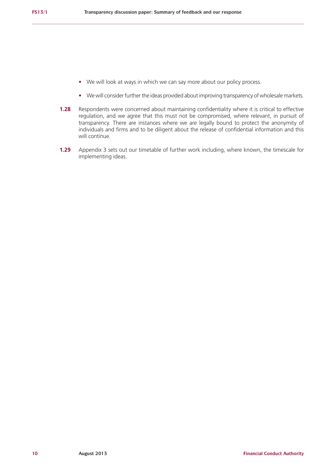- We will look at ways in which we can say more about our policy process.
- We will consider further the ideas provided about improving transparency of wholesale markets.
- **1.28** Respondents were concerned about maintaining confidentiality where it is critical to effective regulation, and we agree that this must not be compromised, where relevant, in pursuit of transparency. There are instances where we are legally bound to protect the anonymity of individuals and firms and to be diligent about the release of confidential information and this will continue.
- **1.29** Appendix 3 sets out our timetable of further work including, where known, the timescale for implementing ideas.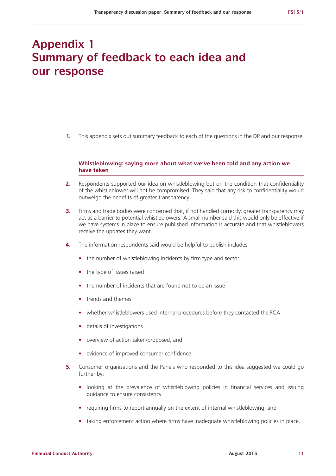### **Appendix 1 Summary of feedback to each idea and our response**

**1.** This appendix sets out summary feedback to each of the questions in the DP and our response.

#### **Whistleblowing: saying more about what we've been told and any action we have taken**

- **2.** Respondents supported our idea on whistleblowing but on the condition that confidentiality of the whistleblower will not be compromised. They said that any risk to confidentiality would outweigh the benefits of greater transparency.
- **3.** Firms and trade bodies were concerned that, if not handled correctly, greater transparency may act as a barrier to potential whistleblowers. A small number said this would only be effective if we have systems in place to ensure published information is accurate and that whistleblowers receive the updates they want.
- **4.** The information respondents said would be helpful to publish includes:
	- the number of whistleblowing incidents by firm type and sector
	- the type of issues raised
	- the number of incidents that are found not to be an issue
	- **•**  trends and themes
	- **•**  whether whistleblowers used internal procedures before they contacted the FCA
	- **•**  details of investigations
	- **•**  overview of action taken/proposed, and
	- **•**  evidence of improved consumer confidence.
- **5.** Consumer organisations and the Panels who responded to this idea suggested we could go further by:
	- looking at the prevalence of whistleblowing policies in financial services and issuing guidance to ensure consistency
	- **•**  requiring firms to report annually on the extent of internal whistleblowing, and
	- taking enforcement action where firms have inadequate whistleblowing policies in place.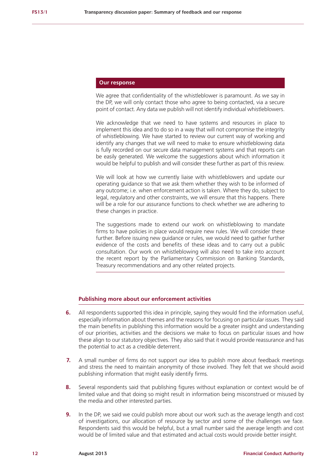We agree that confidentiality of the whistleblower is paramount. As we say in the DP, we will only contact those who agree to being contacted, via a secure point of contact. Any data we publish will not identify individual whistleblowers.

We acknowledge that we need to have systems and resources in place to implement this idea and to do so in a way that will not compromise the integrity of whistleblowing. We have started to review our current way of working and identify any changes that we will need to make to ensure whistleblowing data is fully recorded on our secure data management systems and that reports can be easily generated. We welcome the suggestions about which information it would be helpful to publish and will consider these further as part of this review.

We will look at how we currently liaise with whistleblowers and update our operating guidance so that we ask them whether they wish to be informed of any outcome; i.e. when enforcement action is taken. Where they do, subject to legal, regulatory and other constraints, we will ensure that this happens. There will be a role for our assurance functions to check whether we are adhering to these changes in practice.

The suggestions made to extend our work on whistleblowing to mandate firms to have policies in place would require new rules. We will consider these further. Before issuing new guidance or rules, we would need to gather further evidence of the costs and benefits of these ideas and to carry out a public consultation. Our work on whistleblowing will also need to take into account the recent report by the Parliamentary Commission on Banking Standards, Treasury recommendations and any other related projects.

#### **Publishing more about our enforcement activities**

- **6.** All respondents supported this idea in principle, saying they would find the information useful, especially information about themes and the reasons for focusing on particular issues. They said the main benefits in publishing this information would be a greater insight and understanding of our priorities, activities and the decisions we make to focus on particular issues and how these align to our statutory objectives. They also said that it would provide reassurance and has the potential to act as a credible deterrent.
- **7.** A small number of firms do not support our idea to publish more about feedback meetings and stress the need to maintain anonymity of those involved. They felt that we should avoid publishing information that might easily identify firms.
- **8.** Several respondents said that publishing figures without explanation or context would be of limited value and that doing so might result in information being misconstrued or misused by the media and other interested parties.
- **9.** In the DP, we said we could publish more about our work such as the average length and cost of investigations, our allocation of resource by sector and some of the challenges we face. Respondents said this would be helpful, but a small number said the average length and cost would be of limited value and that estimated and actual costs would provide better insight.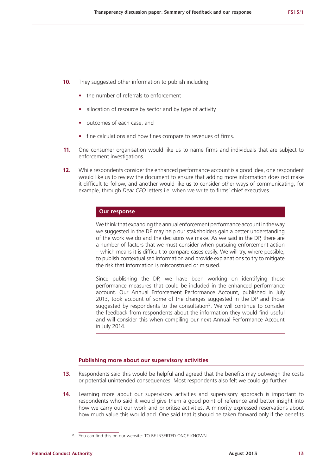- **10.** They suggested other information to publish including:
	- the number of referrals to enforcement
	- allocation of resource by sector and by type of activity
	- **•**  outcomes of each case, and
	- fine calculations and how fines compare to revenues of firms.
- **11.** One consumer organisation would like us to name firms and individuals that are subject to enforcement investigations.
- **12.** While respondents consider the enhanced performance account is a good idea, one respondent would like us to review the document to ensure that adding more information does not make it difficult to follow, and another would like us to consider other ways of communicating, for example, through *Dear CEO* letters i.e. when we write to firms' chief executives.

We think that expanding the annual enforcement performance account in the way we suggested in the DP may help our stakeholders gain a better understanding of the work we do and the decisions we make. As we said in the DP, there are a number of factors that we must consider when pursuing enforcement action – which means it is difficult to compare cases easily. We will try, where possible, to publish contextualised information and provide explanations to try to mitigate the risk that information is misconstrued or misused.

Since publishing the DP, we have been working on identifying those performance measures that could be included in the enhanced performance account. Our Annual Enforcement Performance Account, published in July 2013, took account of some of the changes suggested in the DP and those suggested by respondents to the consultation<sup>5</sup>. We will continue to consider the feedback from respondents about the information they would find useful and will consider this when compiling our next Annual Performance Account in July 2014.

#### **Publishing more about our supervisory activities**

- **13.** Respondents said this would be helpful and agreed that the benefits may outweigh the costs or potential unintended consequences. Most respondents also felt we could go further.
- **14.** Learning more about our supervisory activities and supervisory approach is important to respondents who said it would give them a good point of reference and better insight into how we carry out our work and prioritise activities. A minority expressed reservations about how much value this would add. One said that it should be taken forward only if the benefits

<sup>5</sup> You can find this on our website: TO BE INSERTED ONCE KNOWN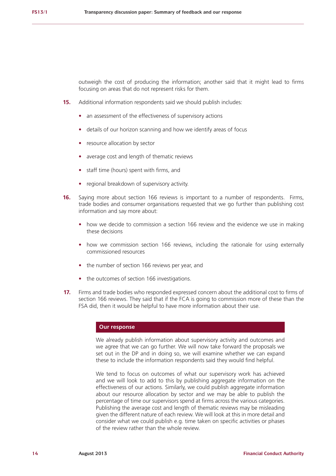outweigh the cost of producing the information; another said that it might lead to firms focusing on areas that do not represent risks for them.

- **15.** Additional information respondents said we should publish includes:
	- an assessment of the effectiveness of supervisory actions
	- **•**  details of our horizon scanning and how we identify areas of focus
	- resource allocation by sector
	- average cost and length of thematic reviews
	- **•**  staff time (hours) spent with firms, and
	- **•**  regional breakdown of supervisory activity.
- **16.** Saying more about section 166 reviews is important to a number of respondents. Firms, trade bodies and consumer organisations requested that we go further than publishing cost information and say more about:
	- how we decide to commission a section 166 review and the evidence we use in making these decisions
	- how we commission section 166 reviews, including the rationale for using externally commissioned resources
	- the number of section 166 reviews per year, and
	- the outcomes of section 166 investigations.
- **17.** Firms and trade bodies who responded expressed concern about the additional cost to firms of section 166 reviews. They said that if the FCA is going to commission more of these than the FSA did, then it would be helpful to have more information about their use.

#### **Our response**

We already publish information about supervisory activity and outcomes and we agree that we can go further. We will now take forward the proposals we set out in the DP and in doing so, we will examine whether we can expand these to include the information respondents said they would find helpful.

We tend to focus on outcomes of what our supervisory work has achieved and we will look to add to this by publishing aggregate information on the effectiveness of our actions. Similarly, we could publish aggregate information about our resource allocation by sector and we may be able to publish the percentage of time our supervisors spend at firms across the various categories. Publishing the average cost and length of thematic reviews may be misleading given the different nature of each review. We will look at this in more detail and consider what we could publish e.g. time taken on specific activities or phases of the review rather than the whole review.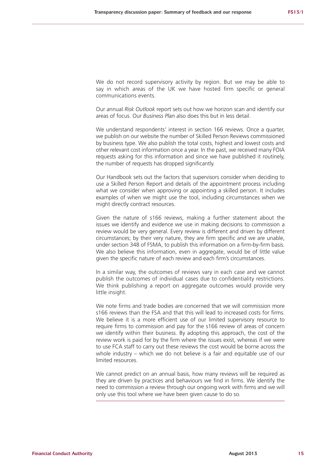We do not record supervisory activity by region. But we may be able to say in which areas of the UK we have hosted firm specific or general communications events.

Our annual *Risk Outlook* report sets out how we horizon scan and identify our areas of focus. Our *Business Plan* also does this but in less detail.

We understand respondents' interest in section 166 reviews. Once a quarter, we publish on our website the number of Skilled Person Reviews commissioned by business type. We also publish the total costs, highest and lowest costs and other relevant cost information once a year. In the past, we received many FOIA requests asking for this information and since we have published it routinely, the number of requests has dropped significantly.

Our Handbook sets out the factors that supervisors consider when deciding to use a Skilled Person Report and details of the appointment process including what we consider when approving or appointing a skilled person. It includes examples of when we might use the tool, including circumstances when we might directly contract resources.

Given the nature of s166 reviews, making a further statement about the issues we identify and evidence we use in making decisions to commission a review would be very general. Every review is different and driven by different circumstances; by their very nature, they are firm specific and we are unable, under section 348 of FSMA, to publish this information on a firm-by-firm basis. We also believe this information, even in aggregate, would be of little value given the specific nature of each review and each firm's circumstances.

In a similar way, the outcomes of reviews vary in each case and we cannot publish the outcomes of individual cases due to confidentiality restrictions. We think publishing a report on aggregate outcomes would provide very little insight.

We note firms and trade bodies are concerned that we will commission more s166 reviews than the FSA and that this will lead to increased costs for firms. We believe it is a more efficient use of our limited supervisory resource to require firms to commission and pay for the s166 review of areas of concern we identify within their business. By adopting this approach, the cost of the review work is paid for by the firm where the issues exist, whereas if we were to use FCA staff to carry out these reviews the cost would be borne across the whole industry – which we do not believe is a fair and equitable use of our limited resources.

We cannot predict on an annual basis, how many reviews will be required as they are driven by practices and behaviours we find in firms. We identify the need to commission a review through our ongoing work with firms and we will only use this tool where we have been given cause to do so.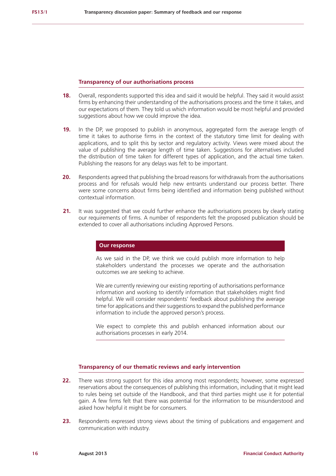#### **Transparency of our authorisations process**

- **18.** Overall, respondents supported this idea and said it would be helpful. They said it would assist firms by enhancing their understanding of the authorisations process and the time it takes, and our expectations of them. They told us which information would be most helpful and provided suggestions about how we could improve the idea.
- **19.** In the DP, we proposed to publish in anonymous, aggregated form the average length of time it takes to authorise firms in the context of the statutory time limit for dealing with applications, and to split this by sector and regulatory activity. Views were mixed about the value of publishing the average length of time taken. Suggestions for alternatives included the distribution of time taken for different types of application, and the actual time taken. Publishing the reasons for any delays was felt to be important.
- **20.** Respondents agreed that publishing the broad reasons for withdrawals from the authorisations process and for refusals would help new entrants understand our process better. There were some concerns about firms being identified and information being published without contextual information.
- **21.** It was suggested that we could further enhance the authorisations process by clearly stating our requirements of firms. A number of respondents felt the proposed publication should be extended to cover all authorisations including Approved Persons.

#### **Our response**

As we said in the DP, we think we could publish more information to help stakeholders understand the processes we operate and the authorisation outcomes we are seeking to achieve.

We are currently reviewing our existing reporting of authorisations performance information and working to identify information that stakeholders might find helpful. We will consider respondents' feedback about publishing the average time for applications and their suggestions to expand the published performance information to include the approved person's process.

We expect to complete this and publish enhanced information about our authorisations processes in early 2014.

#### **Transparency of our thematic reviews and early intervention**

- **22.** There was strong support for this idea among most respondents; however, some expressed reservations about the consequences of publishing this information, including that it might lead to rules being set outside of the Handbook, and that third parties might use it for potential gain. A few firms felt that there was potential for the information to be misunderstood and asked how helpful it might be for consumers.
- **23.** Respondents expressed strong views about the timing of publications and engagement and communication with industry.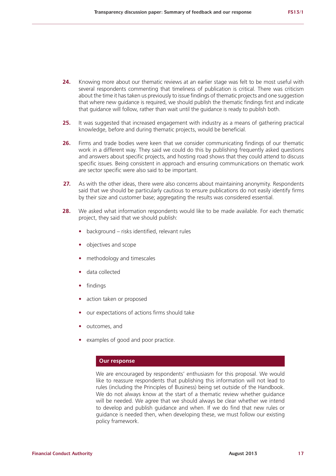- **24.** Knowing more about our thematic reviews at an earlier stage was felt to be most useful with several respondents commenting that timeliness of publication is critical. There was criticism about the time it has taken us previously to issue findings of thematic projects and one suggestion that where new guidance is required, we should publish the thematic findings first and indicate that guidance will follow, rather than wait until the guidance is ready to publish both.
- **25.** It was suggested that increased engagement with industry as a means of gathering practical knowledge, before and during thematic projects, would be beneficial.
- **26.** Firms and trade bodies were keen that we consider communicating findings of our thematic work in a different way. They said we could do this by publishing frequently asked questions and answers about specific projects, and hosting road shows that they could attend to discuss specific issues. Being consistent in approach and ensuring communications on thematic work are sector specific were also said to be important.
- **27.** As with the other ideas, there were also concerns about maintaining anonymity. Respondents said that we should be particularly cautious to ensure publications do not easily identify firms by their size and customer base; aggregating the results was considered essential.
- **28.** We asked what information respondents would like to be made available. For each thematic project, they said that we should publish:
	- background risks identified, relevant rules
	- **•**  objectives and scope
	- methodology and timescales
	- **•**  data collected
	- **•**  findings
	- action taken or proposed
	- our expectations of actions firms should take
	- outcomes, and
	- examples of good and poor practice.

We are encouraged by respondents' enthusiasm for this proposal. We would like to reassure respondents that publishing this information will not lead to rules (including the Principles of Business) being set outside of the Handbook. We do not always know at the start of a thematic review whether guidance will be needed. We agree that we should always be clear whether we intend to develop and publish guidance and when. If we do find that new rules or guidance is needed then, when developing these, we must follow our existing policy framework.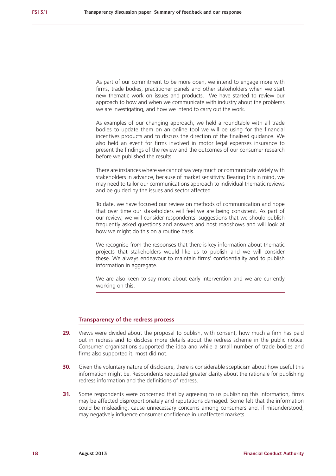As part of our commitment to be more open, we intend to engage more with firms, trade bodies, practitioner panels and other stakeholders when we start new thematic work on issues and products. We have started to review our approach to how and when we communicate with industry about the problems we are investigating, and how we intend to carry out the work.

As examples of our changing approach, we held a roundtable with all trade bodies to update them on an online tool we will be using for the financial incentives products and to discuss the direction of the finalised guidance. We also held an event for firms involved in motor legal expenses insurance to present the findings of the review and the outcomes of our consumer research before we published the results.

There are instances where we cannot say very much or communicate widely with stakeholders in advance, because of market sensitivity. Bearing this in mind, we may need to tailor our communications approach to individual thematic reviews and be guided by the issues and sector affected.

To date, we have focused our review on methods of communication and hope that over time our stakeholders will feel we are being consistent. As part of our review, we will consider respondents' suggestions that we should publish frequently asked questions and answers and host roadshows and will look at how we might do this on a routine basis.

We recognise from the responses that there is key information about thematic projects that stakeholders would like us to publish and we will consider these. We always endeavour to maintain firms' confidentiality and to publish information in aggregate.

We are also keen to say more about early intervention and we are currently working on this.

#### **Transparency of the redress process**

- **29.** Views were divided about the proposal to publish, with consent, how much a firm has paid out in redress and to disclose more details about the redress scheme in the public notice. Consumer organisations supported the idea and while a small number of trade bodies and firms also supported it, most did not.
- **30.** Given the voluntary nature of disclosure, there is considerable scepticism about how useful this information might be. Respondents requested greater clarity about the rationale for publishing redress information and the definitions of redress.
- **31.** Some respondents were concerned that by agreeing to us publishing this information, firms may be affected disproportionately and reputations damaged. Some felt that the information could be misleading, cause unnecessary concerns among consumers and, if misunderstood, may negatively influence consumer confidence in unaffected markets.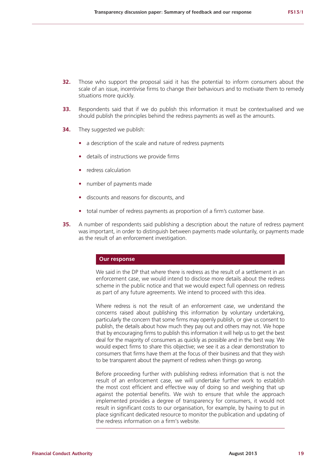- **32.** Those who support the proposal said it has the potential to inform consumers about the scale of an issue, incentivise firms to change their behaviours and to motivate them to remedy situations more quickly.
- **33.** Respondents said that if we do publish this information it must be contextualised and we should publish the principles behind the redress payments as well as the amounts.
- **34.** They suggested we publish:
	- a description of the scale and nature of redress payments
	- **•**  details of instructions we provide firms
	- **•**  redress calculation
	- **•**  number of payments made
	- **•**  discounts and reasons for discounts, and
	- total number of redress payments as proportion of a firm's customer base.
- **35.** A number of respondents said publishing a description about the nature of redress payment was important, in order to distinguish between payments made voluntarily, or payments made as the result of an enforcement investigation.

We said in the DP that where there is redress as the result of a settlement in an enforcement case, we would intend to disclose more details about the redress scheme in the public notice and that we would expect full openness on redress as part of any future agreements. We intend to proceed with this idea.

Where redress is not the result of an enforcement case, we understand the concerns raised about publishing this information by voluntary undertaking, particularly the concern that some firms may openly publish, or give us consent to publish, the details about how much they pay out and others may not. We hope that by encouraging firms to publish this information it will help us to get the best deal for the majority of consumers as quickly as possible and in the best way. We would expect firms to share this objective; we see it as a clear demonstration to consumers that firms have them at the focus of their business and that they wish to be transparent about the payment of redress when things go wrong.

Before proceeding further with publishing redress information that is not the result of an enforcement case, we will undertake further work to establish the most cost efficient and effective way of doing so and weighing that up against the potential benefits. We wish to ensure that while the approach implemented provides a degree of transparency for consumers, it would not result in significant costs to our organisation, for example, by having to put in place significant dedicated resource to monitor the publication and updating of the redress information on a firm's website.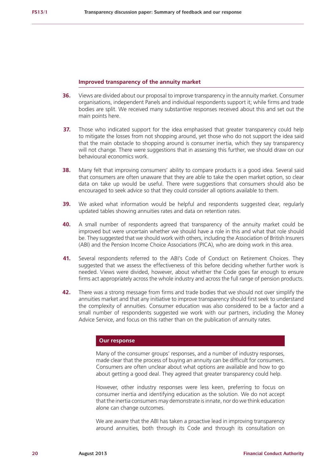#### **Improved transparency of the annuity market**

- **36.** Views are divided about our proposal to improve transparency in the annuity market. Consumer organisations, independent Panels and individual respondents support it; while firms and trade bodies are split. We received many substantive responses received about this and set out the main points here.
- **37.** Those who indicated support for the idea emphasised that greater transparency could help to mitigate the losses from not shopping around, yet those who do not support the idea said that the main obstacle to shopping around is consumer inertia, which they say transparency will not change. There were suggestions that in assessing this further, we should draw on our behavioural economics work.
- **38.** Many felt that improving consumers' ability to compare products is a good idea. Several said that consumers are often unaware that they are able to take the open market option, so clear data on take up would be useful. There were suggestions that consumers should also be encouraged to seek advice so that they could consider all options available to them.
- **39.** We asked what information would be helpful and respondents suggested clear, regularly updated tables showing annuities rates and data on retention rates.
- **40.** A small number of respondents agreed that transparency of the annuity market could be improved but were uncertain whether we should have a role in this and what that role should be. They suggested that we should work with others, including the Association of British Insurers (ABI) and the Pension Income Choice Associations (PICA), who are doing work in this area.
- **41.** Several respondents referred to the ABI's Code of Conduct on Retirement Choices. They suggested that we assess the effectiveness of this before deciding whether further work is needed. Views were divided, however, about whether the Code goes far enough to ensure firms act appropriately across the whole industry and across the full range of pension products.
- **42.** There was a strong message from firms and trade bodies that we should not over simplify the annuities market and that any initiative to improve transparency should first seek to understand the complexity of annuities. Consumer education was also considered to be a factor and a small number of respondents suggested we work with our partners, including the Money Advice Service, and focus on this rather than on the publication of annuity rates.

#### **Our response**

Many of the consumer groups' responses, and a number of industry responses, made clear that the process of buying an annuity can be difficult for consumers. Consumers are often unclear about what options are available and how to go about getting a good deal. They agreed that greater transparency could help.

However, other industry responses were less keen, preferring to focus on consumer inertia and identifying education as the solution. We do not accept that the inertia consumers may demonstrate is innate, nor do we think education alone can change outcomes.

We are aware that the ABI has taken a proactive lead in improving transparency around annuities, both through its Code and through its consultation on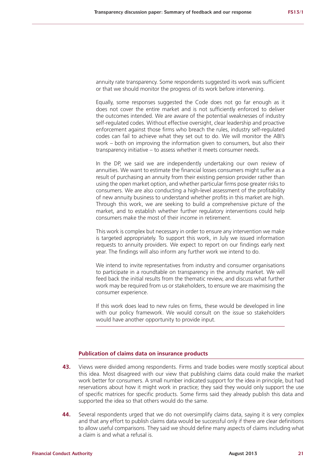annuity rate transparency. Some respondents suggested its work was sufficient or that we should monitor the progress of its work before intervening.

Equally, some responses suggested the Code does not go far enough as it does not cover the entire market and is not sufficiently enforced to deliver the outcomes intended. We are aware of the potential weaknesses of industry self-regulated codes. Without effective oversight, clear leadership and proactive enforcement against those firms who breach the rules, industry self-regulated codes can fail to achieve what they set out to do. We will monitor the ABI's work – both on improving the information given to consumers, but also their transparency initiative – to assess whether it meets consumer needs.

In the DP, we said we are independently undertaking our own review of annuities. We want to estimate the financial losses consumers might suffer as a result of purchasing an annuity from their existing pension provider rather than using the open market option, and whether particular firms pose greater risks to consumers. We are also conducting a high-level assessment of the profitability of new annuity business to understand whether profits in this market are high. Through this work, we are seeking to build a comprehensive picture of the market, and to establish whether further regulatory interventions could help consumers make the most of their income in retirement.

This work is complex but necessary in order to ensure any intervention we make is targeted appropriately. To support this work, in July we issued information requests to annuity providers. We expect to report on our findings early next year. The findings will also inform any further work we intend to do.

We intend to invite representatives from industry and consumer organisations to participate in a roundtable on transparency in the annuity market. We will feed back the initial results from the thematic review, and discuss what further work may be required from us or stakeholders, to ensure we are maximising the consumer experience.

If this work does lead to new rules on firms, these would be developed in line with our policy framework. We would consult on the issue so stakeholders would have another opportunity to provide input.

#### **Publication of claims data on insurance products**

- **43.** Views were divided among respondents. Firms and trade bodies were mostly sceptical about this idea. Most disagreed with our view that publishing claims data could make the market work better for consumers. A small number indicated support for the idea in principle, but had reservations about how it might work in practice; they said they would only support the use of specific matrices for specific products. Some firms said they already publish this data and supported the idea so that others would do the same.
- **44.** Several respondents urged that we do not oversimplify claims data, saying it is very complex and that any effort to publish claims data would be successful only if there are clear definitions to allow useful comparisons. They said we should define many aspects of claims including what a claim is and what a refusal is.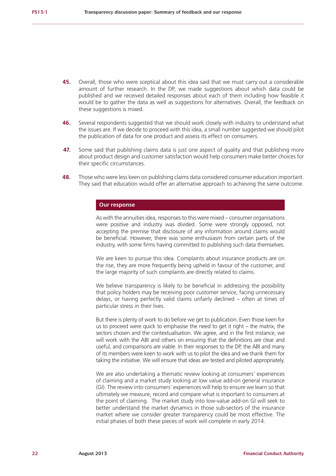- **45.** Overall, those who were sceptical about this idea said that we must carry out a considerable amount of further research. In the DP, we made suggestions about which data could be published and we received detailed responses about each of them including how feasible it would be to gather the data as well as suggestions for alternatives. Overall, the feedback on these suggestions is mixed.
- **46.** Several respondents suggested that we should work closely with industry to understand what the issues are. If we decide to proceed with this idea, a small number suggested we should pilot the publication of data for one product and assess its effect on consumers.
- **47.** Some said that publishing claims data is just one aspect of quality and that publishing more about product design and customer satisfaction would help consumers make better choices for their specific circumstances.
- **48.** Those who were less keen on publishing claims data considered consumer education important. They said that education would offer an alternative approach to achieving the same outcome.

As with the annuities idea, responses to this were mixed – consumer organisations were positive and industry was divided. Some were strongly opposed, not accepting the premise that disclosure of any information around claims would be beneficial. However, there was some enthusiasm from certain parts of the industry, with some firms having committed to publishing such data themselves.

We are keen to pursue this idea. Complaints about insurance products are on the rise, they are more frequently being upheld in favour of the customer, and the large majority of such complaints are directly related to claims.

We believe transparency is likely to be beneficial in addressing the possibility that policy holders may be receiving poor customer service, facing unnecessary delays, or having perfectly valid claims unfairly declined – often at times of particular stress in their lives.

But there is plenty of work to do before we get to publication. Even those keen for us to proceed were quick to emphasise the need to get it right – the matrix, the sectors chosen and the contextualisation. We agree, and in the first instance, we will work with the ABI and others on ensuring that the definitions are clear and useful, and comparisons are viable. In their responses to the DP, the ABI and many of its members were keen to work with us to pilot the idea and we thank them for taking the initiative. We will ensure that ideas are tested and piloted appropriately.

We are also undertaking a thematic review looking at consumers' experiences of claiming and a market study looking at low value add-on general insurance (GI). The review into consumers' experiences will help to ensure we learn so that ultimately we measure, record and compare what is important to consumers at the point of claiming. The market study into low-value add-on GI will seek to better understand the market dynamics in those sub-sectors of the insurance market where we consider greater transparency could be most effective. The initial phases of both these pieces of work will complete in early 2014.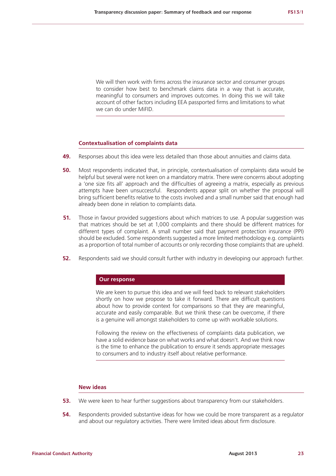We will then work with firms across the insurance sector and consumer groups to consider how best to benchmark claims data in a way that is accurate, meaningful to consumers and improves outcomes. In doing this we will take account of other factors including EEA passported firms and limitations to what we can do under MiFID.

#### **Contextualisation of complaints data**

- **49.** Responses about this idea were less detailed than those about annuities and claims data.
- **50.** Most respondents indicated that, in principle, contextualisation of complaints data would be helpful but several were not keen on a mandatory matrix. There were concerns about adopting a 'one size fits all' approach and the difficulties of agreeing a matrix, especially as previous attempts have been unsuccessful. Respondents appear split on whether the proposal will bring sufficient benefits relative to the costs involved and a small number said that enough had already been done in relation to complaints data.
- **51.** Those in favour provided suggestions about which matrices to use. A popular suggestion was that matrices should be set at 1,000 complaints and there should be different matrices for different types of complaint. A small number said that payment protection insurance (PPI) should be excluded. Some respondents suggested a more limited methodology e.g. complaints as a proportion of total number of accounts or only recording those complaints that are upheld.
- **52.** Respondents said we should consult further with industry in developing our approach further.

#### **Our response**

We are keen to pursue this idea and we will feed back to relevant stakeholders shortly on how we propose to take it forward. There are difficult questions about how to provide context for comparisons so that they are meaningful, accurate and easily comparable. But we think these can be overcome, if there is a genuine will amongst stakeholders to come up with workable solutions.

Following the review on the effectiveness of complaints data publication, we have a solid evidence base on what works and what doesn't. And we think now is the time to enhance the publication to ensure it sends appropriate messages to consumers and to industry itself about relative performance.

#### **New ideas**

- **53.** We were keen to hear further suggestions about transparency from our stakeholders.
- **54.** Respondents provided substantive ideas for how we could be more transparent as a regulator and about our regulatory activities. There were limited ideas about firm disclosure.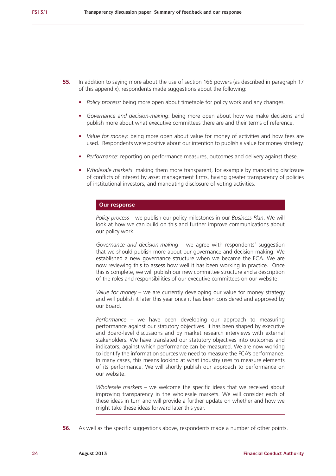- **55.** In addition to saying more about the use of section 166 powers (as described in paragraph 17 of this appendix), respondents made suggestions about the following:
	- **•**  *Policy process:* being more open about timetable for policy work and any changes.
	- **•**  *Governance and decision-making*: being more open about how we make decisions and publish more about what executive committees there are and their terms of reference.
	- **•**  *Value for money*: being more open about value for money of activities and how fees are used. Respondents were positive about our intention to publish a value for money strategy.
	- *Performance:* reporting on performance measures, outcomes and delivery against these.
	- **•**  *Wholesale markets*: making them more transparent, for example by mandating disclosure of conflicts of interest by asset management firms, having greater transparency of policies of institutional investors, and mandating disclosure of voting activities.

*Policy process –* we publish our policy milestones in our *Business Plan*. We will look at how we can build on this and further improve communications about our policy work.

*Governance and decision-making* – we agree with respondents' suggestion that we should publish more about our governance and decision-making. We established a new governance structure when we became the FCA. We are now reviewing this to assess how well it has been working in practice. Once this is complete, we will publish our new committee structure and a description of the roles and responsibilities of our executive committees on our website.

*Value for money* – we are currently developing our value for money strategy and will publish it later this year once it has been considered and approved by our Board.

*Performance* – we have been developing our approach to measuring performance against our statutory objectives. It has been shaped by executive and Board-level discussions and by market research interviews with external stakeholders. We have translated our statutory objectives into outcomes and indicators, against which performance can be measured. We are now working to identify the information sources we need to measure the FCA's performance. In many cases, this means looking at what industry uses to measure elements of its performance. We will shortly publish our approach to performance on our website.

*Wholesale markets –* we welcome the specific ideas that we received about improving transparency in the wholesale markets. We will consider each of these ideas in turn and will provide a further update on whether and how we might take these ideas forward later this year.

**56.** As well as the specific suggestions above, respondents made a number of other points.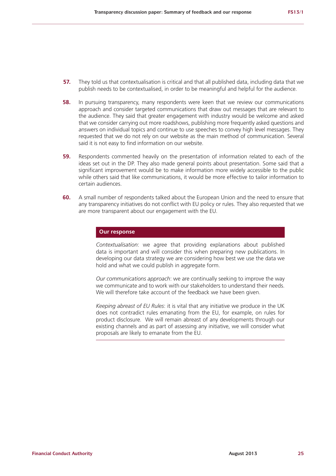- **57.** They told us that contextualisation is critical and that all published data, including data that we publish needs to be contextualised, in order to be meaningful and helpful for the audience.
- **58.** In pursuing transparency, many respondents were keen that we review our communications approach and consider targeted communications that draw out messages that are relevant to the audience. They said that greater engagement with industry would be welcome and asked that we consider carrying out more roadshows, publishing more frequently asked questions and answers on individual topics and continue to use speeches to convey high level messages. They requested that we do not rely on our website as the main method of communication. Several said it is not easy to find information on our website.
- **59.** Respondents commented heavily on the presentation of information related to each of the ideas set out in the DP. They also made general points about presentation. Some said that a significant improvement would be to make information more widely accessible to the public while others said that like communications, it would be more effective to tailor information to certain audiences.
- **60.** A small number of respondents talked about the European Union and the need to ensure that any transparency initiatives do not conflict with EU policy or rules. They also requested that we are more transparent about our engagement with the EU.

*Contextualisation*: we agree that providing explanations about published data is important and will consider this when preparing new publications. In developing our data strategy we are considering how best we use the data we hold and what we could publish in aggregate form.

*Our communications approach*: we are continually seeking to improve the way we communicate and to work with our stakeholders to understand their needs. We will therefore take account of the feedback we have been given.

*Keeping abreast of EU Rules*: it is vital that any initiative we produce in the UK does not contradict rules emanating from the EU, for example, on rules for product disclosure. We will remain abreast of any developments through our existing channels and as part of assessing any initiative, we will consider what proposals are likely to emanate from the EU.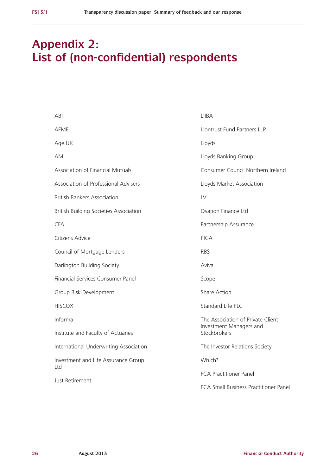# **Appendix 2: List of (non-confidential) respondents**

| ABI                                           | LIIBA                                                                        |  |  |  |  |
|-----------------------------------------------|------------------------------------------------------------------------------|--|--|--|--|
| AFME                                          | Liontrust Fund Partners LLP                                                  |  |  |  |  |
| Age UK                                        | Lloyds                                                                       |  |  |  |  |
| AMI                                           | Lloyds Banking Group                                                         |  |  |  |  |
| <b>Association of Financial Mutuals</b>       | Consumer Council Northern Ireland                                            |  |  |  |  |
| Association of Professional Advisers          | Lloyds Market Association                                                    |  |  |  |  |
| <b>British Bankers Association</b>            | LV                                                                           |  |  |  |  |
| <b>British Building Societies Association</b> | Ovation Finance Ltd                                                          |  |  |  |  |
| <b>CFA</b>                                    | Partnership Assurance                                                        |  |  |  |  |
| Citizens Advice                               | $P$ $C$ $A$                                                                  |  |  |  |  |
| Council of Mortgage Lenders                   | <b>RBS</b>                                                                   |  |  |  |  |
| Darlington Building Society                   | Aviva                                                                        |  |  |  |  |
| Financial Services Consumer Panel             | Scope                                                                        |  |  |  |  |
| Group Risk Development                        | Share Action                                                                 |  |  |  |  |
| <b>HISCOX</b>                                 | Standard Life PLC                                                            |  |  |  |  |
| Informa                                       | The Association of Private Client<br>Investment Managers and<br>Stockbrokers |  |  |  |  |
| Institute and Faculty of Actuaries            |                                                                              |  |  |  |  |
| International Underwriting Association        | The Investor Relations Society                                               |  |  |  |  |
| Investment and Life Assurance Group           | Which?                                                                       |  |  |  |  |
| Ltd                                           | <b>FCA Practitioner Panel</b>                                                |  |  |  |  |
| Just Retirement                               | FCA Small Business Practitioner Panel                                        |  |  |  |  |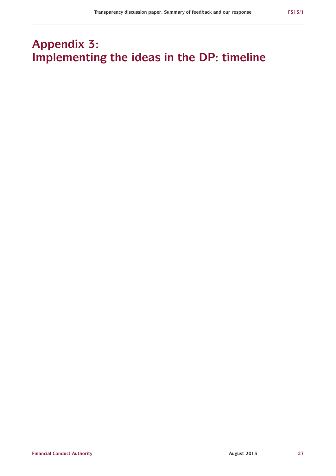# **Appendix 3: Implementing the ideas in the DP: timeline**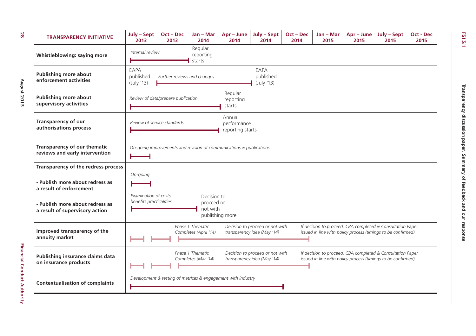| <b>TRANSPARENCY INITIATIVE</b>                                    | July - Sept<br>2013                              | Oct – Dec<br>2013                  | $Jan - Mar$<br>2014                       | Apr - June<br>2014                                                  | July - Sept<br>2014                                            | Oct – Dec<br>2014 | Jan – Mar<br>2015 | Apr – June<br>2015 | July - Sept<br>2015                                                                                                        | <b>Oct - Dec</b><br>2015 |
|-------------------------------------------------------------------|--------------------------------------------------|------------------------------------|-------------------------------------------|---------------------------------------------------------------------|----------------------------------------------------------------|-------------------|-------------------|--------------------|----------------------------------------------------------------------------------------------------------------------------|--------------------------|
| Whistleblowing: saying more                                       | Internal review                                  |                                    | Regular<br>reporting<br>starts            |                                                                     |                                                                |                   |                   |                    |                                                                                                                            |                          |
| <b>Publishing more about</b><br>enforcement activities            | EAPA<br>published<br>(July '13)                  | Further reviews and changes        |                                           |                                                                     | EAPA<br>published<br>(July '13)                                |                   |                   |                    |                                                                                                                            |                          |
| <b>Publishing more about</b><br>supervisory activities            |                                                  | Review of data/prepare publication |                                           | Regular<br>reporting<br>starts                                      |                                                                |                   |                   |                    |                                                                                                                            |                          |
| <b>Transparency of our</b><br>authorisations process              | Review of service standards                      |                                    |                                           | Annual<br>performance<br>reporting starts                           |                                                                |                   |                   |                    |                                                                                                                            |                          |
| Transparency of our thematic<br>reviews and early intervention    |                                                  |                                    |                                           | On-going improvements and revision of communications & publications |                                                                |                   |                   |                    |                                                                                                                            |                          |
| Transparency of the redress process                               |                                                  |                                    |                                           |                                                                     |                                                                |                   |                   |                    |                                                                                                                            |                          |
| - Publish more about redress as<br>a result of enforcement        | On-going                                         |                                    |                                           |                                                                     |                                                                |                   |                   |                    |                                                                                                                            |                          |
| - Publish more about redress as<br>a result of supervisory action | Examination of costs,<br>benefits practicalities |                                    | Decision to<br>proceed or<br>not with     | publishing more                                                     |                                                                |                   |                   |                    |                                                                                                                            |                          |
| Improved transparency of the<br>annuity market                    |                                                  |                                    | Phase 1 Thematic<br>Completes (April '14) |                                                                     | Decision to proceed or not with<br>transparency idea (May '14) |                   |                   |                    | If decision to proceed, CBA completed & Consultation Paper<br>issued in line with policy process (timings to be confirmed) |                          |
| Publishing insurance claims data<br>on insurance products         |                                                  |                                    | Phase 1 Thematic<br>Completes (Mar '14)   |                                                                     | Decision to proceed or not with<br>transparency idea (May '14) |                   |                   |                    | If decision to proceed, CBA completed & Consultation Paper<br>issued in line with policy process (timings to be confirmed) |                          |
| <b>Contextualisation of complaints</b>                            |                                                  |                                    |                                           | Development & testing of matrices & engagement with industry        |                                                                |                   |                   |                    |                                                                                                                            |                          |

Financial Conduct Authority

**28**

**FS13/1**